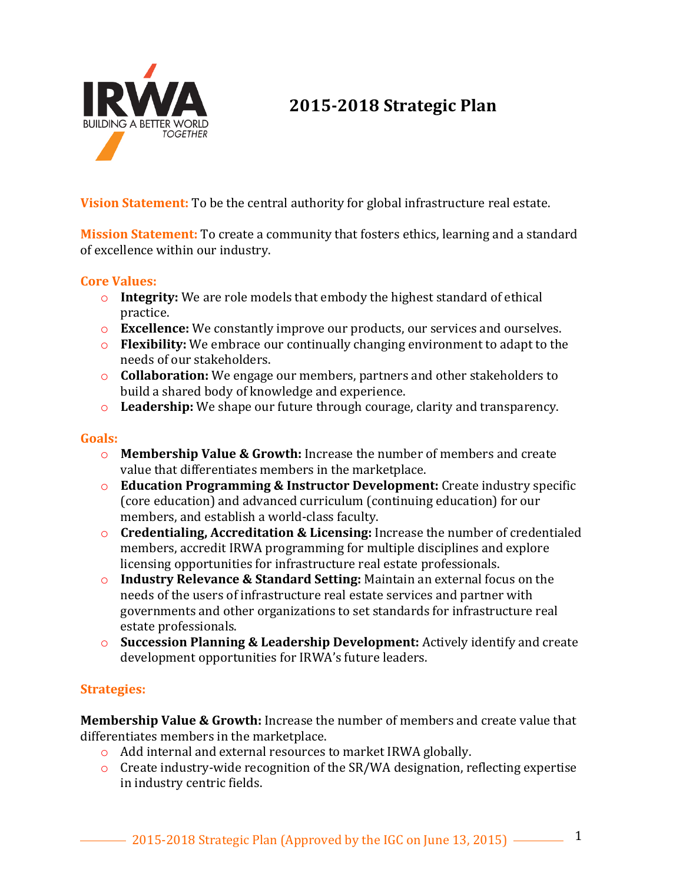

## **2015-2018 Strategic Plan**

**Vision Statement:** To be the central authority for global infrastructure real estate.

**Mission Statement:** To create a community that fosters ethics, learning and a standard of excellence within our industry.

## **Core Values:**

- $\circ$  **Integrity:** We are role models that embody the highest standard of ethical practice.
- **Excellence:** We constantly improve our products, our services and ourselves.
- **Flexibility:** We embrace our continually changing environment to adapt to the needs of our stakeholders.
- **c Collaboration:** We engage our members, partners and other stakeholders to build a shared body of knowledge and experience.
- **Leadership:** We shape our future through courage, clarity and transparency.

## **Goals:**

- **O Membership Value & Growth:** Increase the number of members and create value that differentiates members in the marketplace.
- **Education Programming & Instructor Development:** Create industry specific (core education) and advanced curriculum (continuing education) for our members, and establish a world-class faculty.
- **Credentialing, Accreditation & Licensing:** Increase the number of credentialed members, accredit IRWA programming for multiple disciplines and explore licensing opportunities for infrastructure real estate professionals.
- **o Industry Relevance & Standard Setting:** Maintain an external focus on the needs of the users of infrastructure real estate services and partner with governments and other organizations to set standards for infrastructure real estate professionals.
- **o** Succession Planning & Leadership Development: Actively identify and create development opportunities for IRWA's future leaders.

## **Strategies:**

**Membership Value & Growth:** Increase the number of members and create value that differentiates members in the marketplace.

- $\circ$  Add internal and external resources to market IRWA globally.
- $\circ$  Create industry-wide recognition of the SR/WA designation, reflecting expertise in industry centric fields.